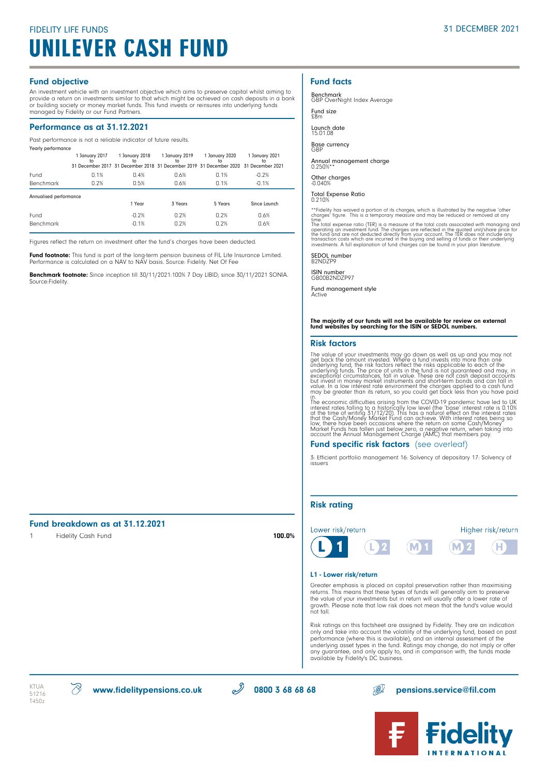# FIDELITY LIFE FUNDS 31 DECEMBER 2021 UNILEVER CASH FUND

### Fund objective

An investment vehicle with an investment objective which aims to preserve capital whilst aiming to provide a return on investments similar to that which might be achieved on cash deposits in a bank<br>or building society or money market funds. This fund invests or reinsures into underlying funds<br>managed by Fidelity or our

### Performance as at 31.12.2021

Past performance is not a reliable indicator of future results.

| Yearly performance     | 1 January 2017<br>tο | 1 January 2018<br>to<br>31 December 2017 31 December 2018 31 December 2019 31 December 2020 31 December 2021 | 1 January 2019<br>to | 1 January 2020<br>to. | 1 January 2021<br>to |  |
|------------------------|----------------------|--------------------------------------------------------------------------------------------------------------|----------------------|-----------------------|----------------------|--|
| Fund                   | 0.1%                 | 0.4%                                                                                                         | 0.6%                 | 0.1%                  | $-0.2%$              |  |
| <b>Benchmark</b>       | 0.2%                 | 0.5%                                                                                                         | 0.6%                 | 0.1%                  | $-0.1%$              |  |
| Annualised performance |                      |                                                                                                              |                      |                       |                      |  |
|                        |                      |                                                                                                              |                      |                       |                      |  |
|                        |                      | 1 Year                                                                                                       | 3 Years              | 5 Years               | Since Launch         |  |
| Fund                   |                      | $-0.2%$                                                                                                      | 0.2%                 | 0.2%                  | 0.6%                 |  |

Figures reflect the return on investment after the fund's charges have been deducted.

**Fund footnote:** This fund is part of the long-term pension business of FIL Life Insurance Limited.<br>Performance is calculated on a NAV to NAV basis. Source: Fidelity. Net Of Fee

Benchmark footnote: Since inception till 30/11/2021:100% 7 Day LIBID; since 30/11/2021 SONIA. Source:Fidelity.

# Fund facts

Benchmark GBP OverNight Index Average

Fund size £8m

Launch date

15.01.08

Base currency GBP

Annual management charge 0.250%\*\*

Other charges -0.040%

Total Expense Ratio 0.210%

\*\*Fidelity has waived a portion of its charges, which is illustrated by the negative 'other charges' figure. This is a temporary measure and may be reduced or removed at any

time."<br>The total expense ratio (TER) is a measure of the total costs associated with managing and<br>The total expense ratio (TER) is a measure of the total costs associated with the<br>modify condition and are not deducted dire

SEDOL number B2NDZP9

ISIN number GB00B2NDZP97

Fund management style Active

# The majority of our funds will not be available for review on external fund websites by searching for the ISIN or SEDOL numbers.

#### Risk factors

The value of your investments may go down as well as up and you may not<br>get back the amount invested. Where a fund invests into more than one<br>underlying fund, the risk factors reflect the risks applicable to each of the<br>un

in.<br>The economic difficulties arising from the COVID-19 pandemic have led to UK<br>interest rates falling to a historically low level (the 'base' interest rate is 0.10%<br>at the time of writing 31/12/20). This has a natural eff

# Fund specific risk factors (see overleaf)

3: Efficient portfolio management 16: Solvency of depositary 17: Solvency of issuers

# Risk rating



#### L1 - Lower risk/return

Greater emphasis is placed on capital preservation rather than maximising returns. This means that these types of funds will generally aim to preserve the value of your investments but in return will usually offer a lower rate of growth. Please note that low risk does not mean that the fund's value would not fall.

Risk ratings on this factsheet are assigned by Fidelity. They are an indication only and take into account the volatility of the underlying fund, based on past performance (where this is available), and an internal assessment of the underlying asset types in the fund. Ratings may change, do not imply or offer any guarantee, and only apply to, and in comparison with, the funds made available by Fidelity's DC business.



Fund breakdown as at 31.12.2021





1 Fidelity Cash Fund 100.0%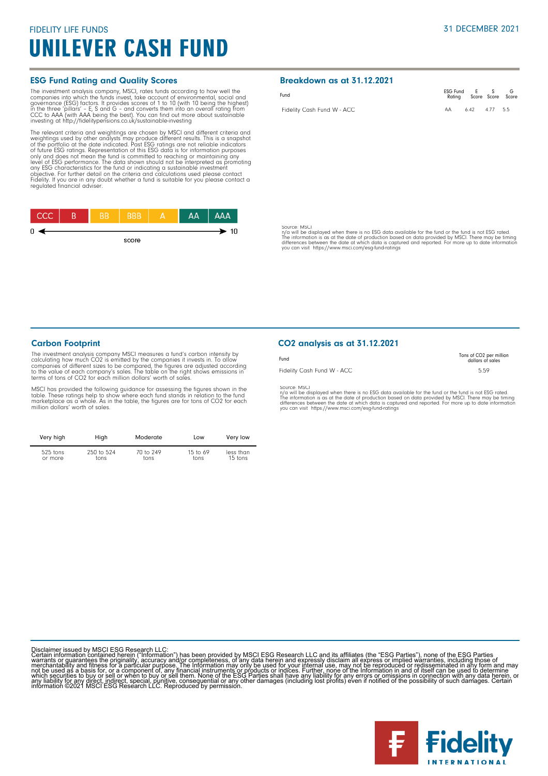# FIDELITY LIFE FUNDS UNILEVER CASH FUND

# ESG Fund Rating and Quality Scores

The investment analysis company, MSCI, rates funds according to how well the forepanies into which the funds invest, take account of environmental, social and governance (ESG) factors. It provides scores of 1 to 10 (with 1

The relevant criteria and weightings are chosen by MSCI and different criteria and weightings used by other analysts may produce different results. This is a snapshot<br>of the portfolio at the date indicated. Past ESG ratings are not reliable indicators<br>of thure ESG ratings. Representation of this ESG data objective. For further detail on the criteria and calculations used please contact Fidelity. If you are in any doubt whether a fund is suitable for you please contact a regulated financial adviser.



Breakdown as at 31.12.2021

| Fund                               | ESG Fund E S G<br>Rating Score Score Score |            |  |
|------------------------------------|--------------------------------------------|------------|--|
| Fidelity Cash Fund W - $\Delta CC$ |                                            | 642 477 55 |  |

Source: MSCI<br>n/a will be displayed when there is no ESG data available for the fund or the fund is not ESG rated.<br>The information is as at the date of production based on data provided by MSCI. There may be timing<br>differen

# Carbon Footprint

The investment analysis company MSCI measures a fund's carbon intensity by calculating how much CO2 is emitted by the companies it invests in. To allow colonganies of different sizes to be compared, the figures are adjuste

MSCI has provided the following guidance for assessing the figures shown in the<br>table. These ratings help to show where each fund stands in relation to the fund<br>marketplace as a whole. As in the table, the figures are for million dollars' worth of sales.

| Very high  | High       | Moderate  | Low        | Very low  |
|------------|------------|-----------|------------|-----------|
| $525$ tons | 250 to 524 | 70 to 249 | 15 to $69$ | less than |
| or more    | tons       | tons      | tons       | 15 tons   |

# CO2 analysis as at 31.12.2021

| Fund                       | Tons of CO <sub>2</sub> per million<br>dollars of sales |
|----------------------------|---------------------------------------------------------|
| Fidelity Cash Fund W - ACC | 5.59                                                    |

Source: MSCI<br>n/a will be displayed when there is no ESG data available for the fund or the fund is not ESG rated.<br>The information is as at the date of production based on data provided by MSCI. There may be timing<br>differen

Disclaimer issued by MSCI ESG Research LLC:<br>Certain information contained herein ("Information") has been provided by MSCI ESG Research LLC and its affiliates (the "ESG Parties"), none of the ESG Parties<br>Certain informatio